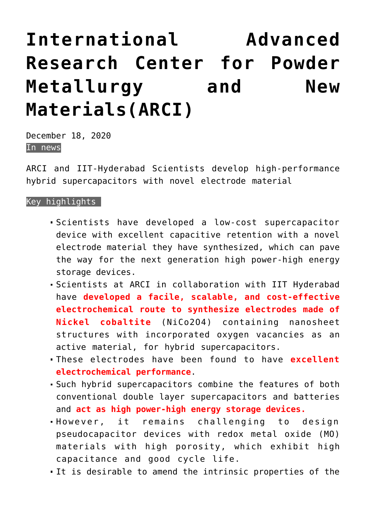## **[International Advanced](https://journalsofindia.com/international-advanced-research-center-for-powder-metallurgy-and-new-materialsarci/) [Research Center for Powder](https://journalsofindia.com/international-advanced-research-center-for-powder-metallurgy-and-new-materialsarci/) [Metallurgy and New](https://journalsofindia.com/international-advanced-research-center-for-powder-metallurgy-and-new-materialsarci/) [Materials\(ARCI\)](https://journalsofindia.com/international-advanced-research-center-for-powder-metallurgy-and-new-materialsarci/)**

December 18, 2020 In news

ARCI and IIT-Hyderabad Scientists develop high-performance hybrid supercapacitors with novel electrode material

## Key highlights

- Scientists have developed a low-cost supercapacitor device with excellent capacitive retention with a novel electrode material they have synthesized, which can pave the way for the next generation high power-high energy storage devices.
- Scientists at ARCI in collaboration with IIT Hyderabad have **developed a facile, scalable, and cost-effective electrochemical route to synthesize electrodes made of Nickel cobaltite** (NiCo2O4) containing nanosheet structures with incorporated oxygen vacancies as an active material, for hybrid supercapacitors.
- These electrodes have been found to have **excellent electrochemical performance**.
- Such hybrid supercapacitors combine the features of both conventional double layer supercapacitors and batteries and **act as high power-high energy storage devices.**
- However, it remains challenging to design pseudocapacitor devices with redox metal oxide (MO) materials with high porosity, which exhibit high capacitance and good cycle life.
- It is desirable to amend the intrinsic properties of the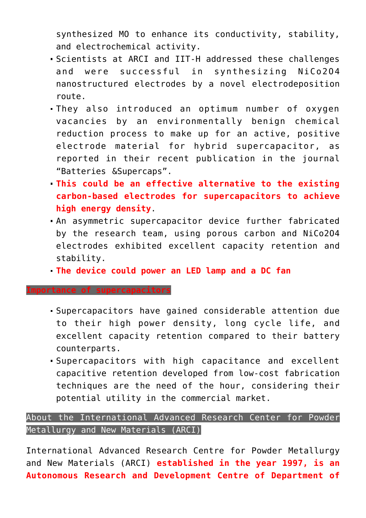synthesized MO to enhance its conductivity, stability, and electrochemical activity.

- Scientists at ARCI and IIT-H addressed these challenges and were successful in synthesizing NiCo2O4 nanostructured electrodes by a novel electrodeposition route.
- They also introduced an optimum number of oxygen vacancies by an environmentally benign chemical reduction process to make up for an active, positive electrode material for hybrid supercapacitor, as reported in their recent publication in the journal "Batteries &Supercaps".
- **This could be an effective alternative to the existing carbon-based electrodes for supercapacitors to achieve high energy density**.
- An asymmetric supercapacitor device further fabricated by the research team, using porous carbon and NiCo2O4 electrodes exhibited excellent capacity retention and stability.
- **The device could power an LED lamp and a DC fan**

**Importance of supercapacitors**

- Supercapacitors have gained considerable attention due to their high power density, long cycle life, and excellent capacity retention compared to their battery counterparts.
- Supercapacitors with high capacitance and excellent capacitive retention developed from low-cost fabrication techniques are the need of the hour, considering their potential utility in the commercial market.

## About the International Advanced Research Center for Powder Metallurgy and New Materials (ARCI)

International Advanced Research Centre for Powder Metallurgy and New Materials (ARCI) **established in the year 1997, is an Autonomous Research and Development Centre of Department of**